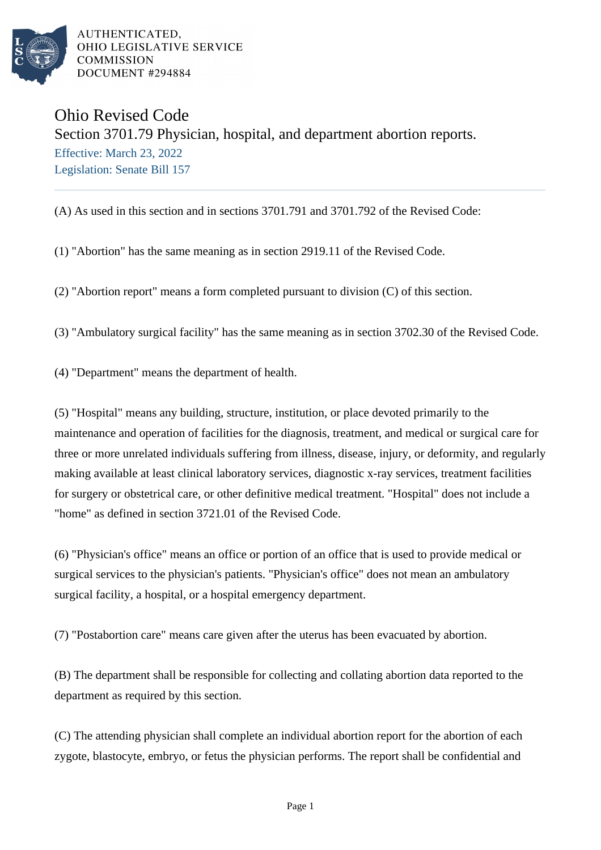

## Ohio Revised Code

Section 3701.79 Physician, hospital, and department abortion reports. Effective: March 23, 2022 Legislation: Senate Bill 157

(A) As used in this section and in sections 3701.791 and 3701.792 of the Revised Code:

(1) "Abortion" has the same meaning as in section 2919.11 of the Revised Code.

(2) "Abortion report" means a form completed pursuant to division (C) of this section.

(3) "Ambulatory surgical facility" has the same meaning as in section 3702.30 of the Revised Code.

(4) "Department" means the department of health.

(5) "Hospital" means any building, structure, institution, or place devoted primarily to the maintenance and operation of facilities for the diagnosis, treatment, and medical or surgical care for three or more unrelated individuals suffering from illness, disease, injury, or deformity, and regularly making available at least clinical laboratory services, diagnostic x-ray services, treatment facilities for surgery or obstetrical care, or other definitive medical treatment. "Hospital" does not include a "home" as defined in section 3721.01 of the Revised Code.

(6) "Physician's office" means an office or portion of an office that is used to provide medical or surgical services to the physician's patients. "Physician's office" does not mean an ambulatory surgical facility, a hospital, or a hospital emergency department.

(7) "Postabortion care" means care given after the uterus has been evacuated by abortion.

(B) The department shall be responsible for collecting and collating abortion data reported to the department as required by this section.

(C) The attending physician shall complete an individual abortion report for the abortion of each zygote, blastocyte, embryo, or fetus the physician performs. The report shall be confidential and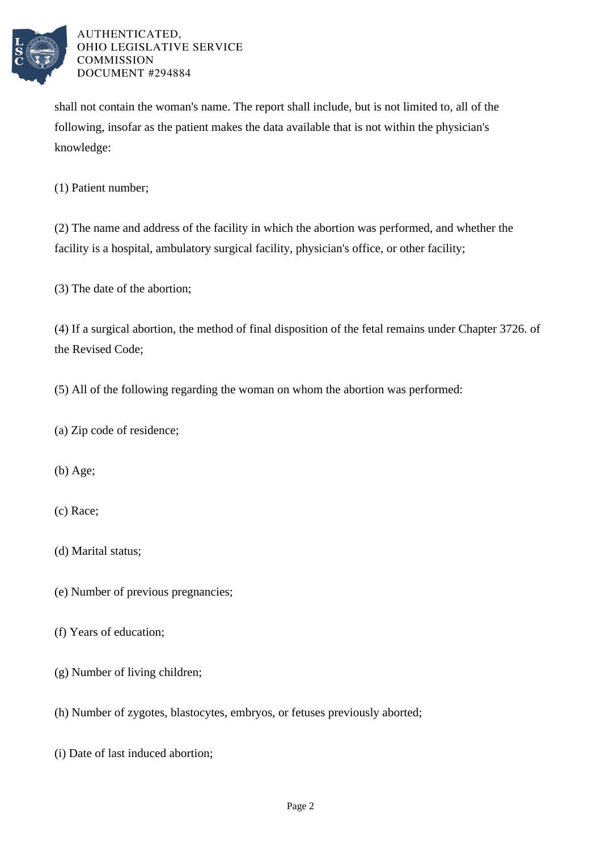

shall not contain the woman's name. The report shall include, but is not limited to, all of the following, insofar as the patient makes the data available that is not within the physician's knowledge:

(1) Patient number;

(2) The name and address of the facility in which the abortion was performed, and whether the facility is a hospital, ambulatory surgical facility, physician's office, or other facility;

(3) The date of the abortion;

(4) If a surgical abortion, the method of final disposition of the fetal remains under Chapter 3726. of the Revised Code;

(5) All of the following regarding the woman on whom the abortion was performed:

(a) Zip code of residence;

(b) Age;

(c) Race;

(d) Marital status;

- (e) Number of previous pregnancies;
- (f) Years of education;
- (g) Number of living children;
- (h) Number of zygotes, blastocytes, embryos, or fetuses previously aborted;
- (i) Date of last induced abortion;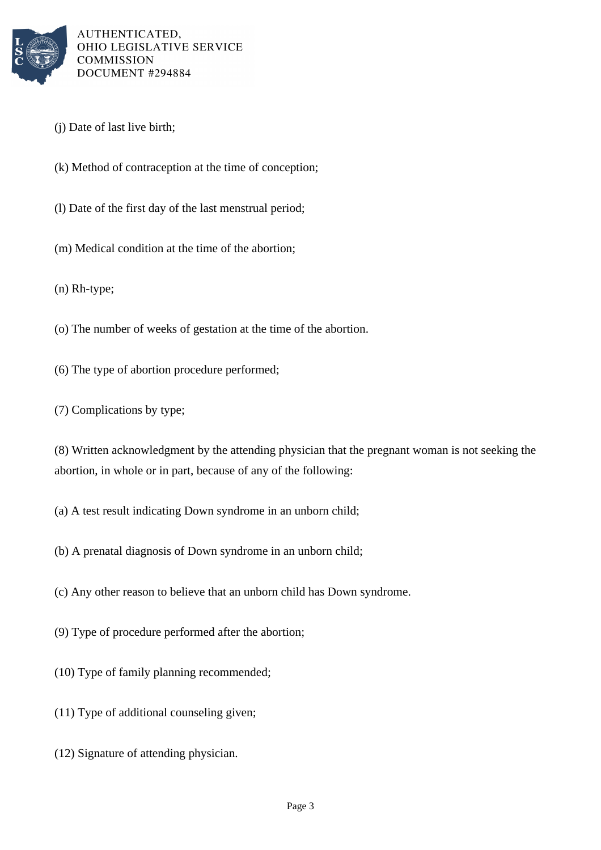

- (j) Date of last live birth;
- (k) Method of contraception at the time of conception;
- (l) Date of the first day of the last menstrual period;
- (m) Medical condition at the time of the abortion;
- (n) Rh-type;
- (o) The number of weeks of gestation at the time of the abortion.
- (6) The type of abortion procedure performed;
- (7) Complications by type;

(8) Written acknowledgment by the attending physician that the pregnant woman is not seeking the abortion, in whole or in part, because of any of the following:

- (a) A test result indicating Down syndrome in an unborn child;
- (b) A prenatal diagnosis of Down syndrome in an unborn child;
- (c) Any other reason to believe that an unborn child has Down syndrome.
- (9) Type of procedure performed after the abortion;
- (10) Type of family planning recommended;
- (11) Type of additional counseling given;
- (12) Signature of attending physician.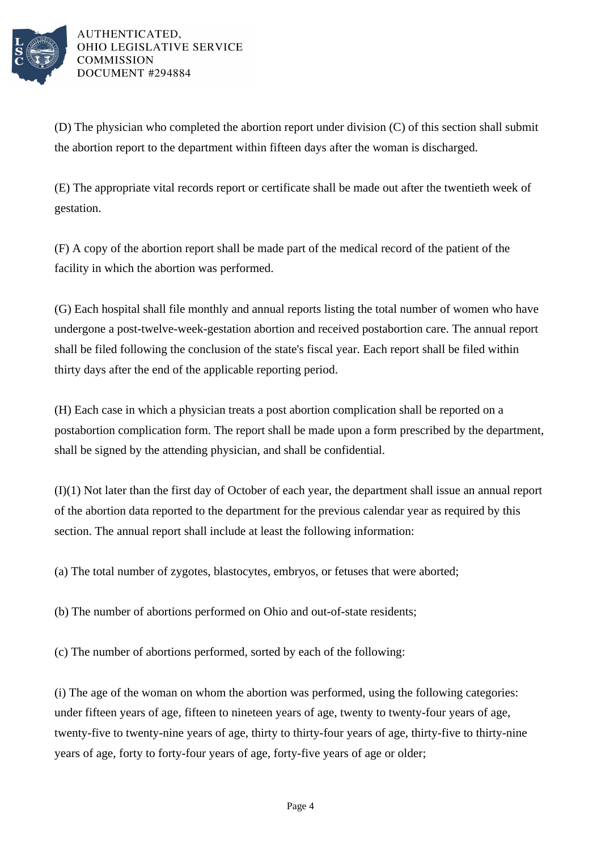

(D) The physician who completed the abortion report under division (C) of this section shall submit the abortion report to the department within fifteen days after the woman is discharged.

(E) The appropriate vital records report or certificate shall be made out after the twentieth week of gestation.

(F) A copy of the abortion report shall be made part of the medical record of the patient of the facility in which the abortion was performed.

(G) Each hospital shall file monthly and annual reports listing the total number of women who have undergone a post-twelve-week-gestation abortion and received postabortion care. The annual report shall be filed following the conclusion of the state's fiscal year. Each report shall be filed within thirty days after the end of the applicable reporting period.

(H) Each case in which a physician treats a post abortion complication shall be reported on a postabortion complication form. The report shall be made upon a form prescribed by the department, shall be signed by the attending physician, and shall be confidential.

(I)(1) Not later than the first day of October of each year, the department shall issue an annual report of the abortion data reported to the department for the previous calendar year as required by this section. The annual report shall include at least the following information:

(a) The total number of zygotes, blastocytes, embryos, or fetuses that were aborted;

(b) The number of abortions performed on Ohio and out-of-state residents;

(c) The number of abortions performed, sorted by each of the following:

(i) The age of the woman on whom the abortion was performed, using the following categories: under fifteen years of age, fifteen to nineteen years of age, twenty to twenty-four years of age, twenty-five to twenty-nine years of age, thirty to thirty-four years of age, thirty-five to thirty-nine years of age, forty to forty-four years of age, forty-five years of age or older;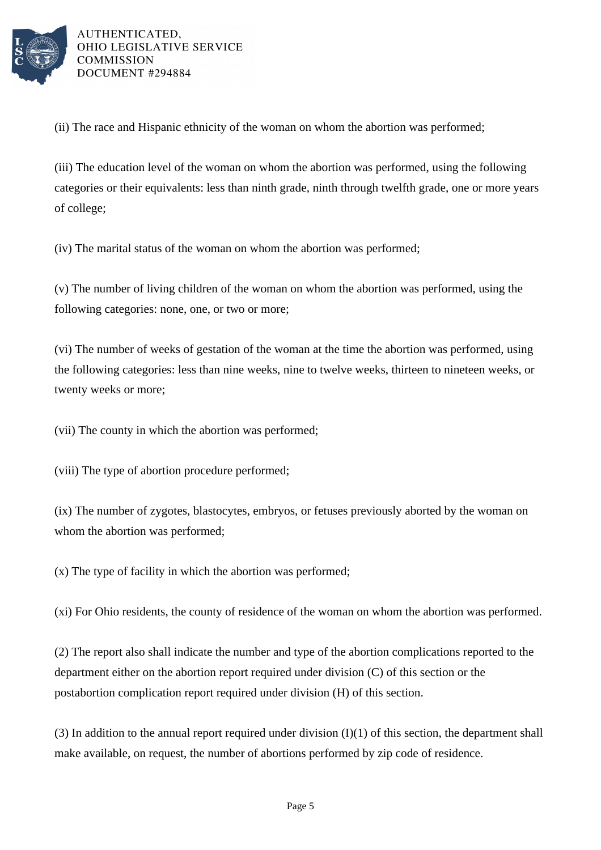

(ii) The race and Hispanic ethnicity of the woman on whom the abortion was performed;

(iii) The education level of the woman on whom the abortion was performed, using the following categories or their equivalents: less than ninth grade, ninth through twelfth grade, one or more years of college;

(iv) The marital status of the woman on whom the abortion was performed;

(v) The number of living children of the woman on whom the abortion was performed, using the following categories: none, one, or two or more;

(vi) The number of weeks of gestation of the woman at the time the abortion was performed, using the following categories: less than nine weeks, nine to twelve weeks, thirteen to nineteen weeks, or twenty weeks or more;

(vii) The county in which the abortion was performed;

(viii) The type of abortion procedure performed;

(ix) The number of zygotes, blastocytes, embryos, or fetuses previously aborted by the woman on whom the abortion was performed;

(x) The type of facility in which the abortion was performed;

(xi) For Ohio residents, the county of residence of the woman on whom the abortion was performed.

(2) The report also shall indicate the number and type of the abortion complications reported to the department either on the abortion report required under division (C) of this section or the postabortion complication report required under division (H) of this section.

(3) In addition to the annual report required under division  $(I)(1)$  of this section, the department shall make available, on request, the number of abortions performed by zip code of residence.